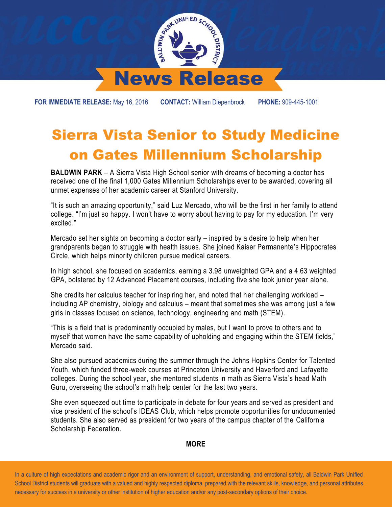

**FOR IMMEDIATE RELEASE:** May 16, 2016 **CONTACT:** William Diepenbrock **PHONE:** 909-445-1001

## Sierra Vista Senior to Study Medicine on Gates Millennium Scholarship

**BALDWIN PARK** – A Sierra Vista High School senior with dreams of becoming a doctor has received one of the final 1,000 Gates Millennium Scholarships ever to be awarded, covering all unmet expenses of her academic career at Stanford University.

"It is such an amazing opportunity," said Luz Mercado, who will be the first in her family to attend college. "I'm just so happy. I won't have to worry about having to pay for my education. I'm very excited."

Mercado set her sights on becoming a doctor early – inspired by a desire to help when her grandparents began to struggle with health issues. She joined Kaiser Permanente's Hippocrates Circle, which helps minority children pursue medical careers.

In high school, she focused on academics, earning a 3.98 unweighted GPA and a 4.63 weighted GPA, bolstered by 12 Advanced Placement courses, including five she took junior year alone.

She credits her calculus teacher for inspiring her, and noted that her challenging workload – including AP chemistry, biology and calculus – meant that sometimes she was among just a few girls in classes focused on science, technology, engineering and math (STEM).

"This is a field that is predominantly occupied by males, but I want to prove to others and to myself that women have the same capability of upholding and engaging within the STEM fields," Mercado said.

She also pursued academics during the summer through the Johns Hopkins Center for Talented Youth, which funded three-week courses at Princeton University and Haverford and Lafayette colleges. During the school year, she mentored students in math as Sierra Vista's head Math Guru, overseeing the school's math help center for the last two years.

She even squeezed out time to participate in debate for four years and served as president and vice president of the school's IDEAS Club, which helps promote opportunities for undocumented students. She also served as president for two years of the campus chapter of the California Scholarship Federation.

## **MORE**

 In a culture of high expectations and academic rigor and an environment of support, understanding, and emotional safety, all Baldwin Park Unified School District students will graduate with a valued and highly respected diploma, prepared with the relevant skills, knowledge, and personal attributes necessary for success in a university or other institution of higher education and/or any post-secondary options of their choice.